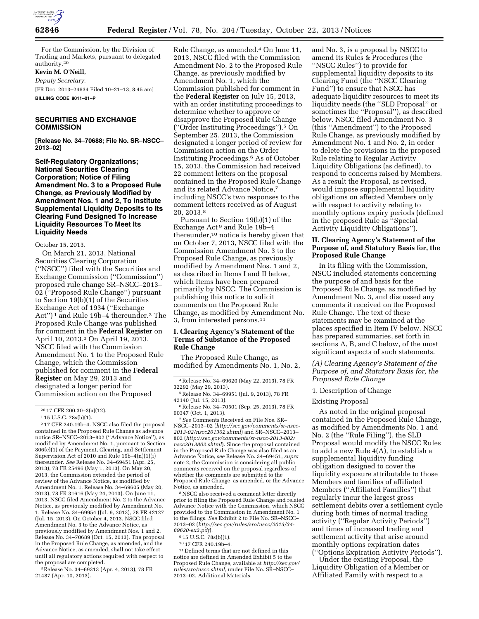

For the Commission, by the Division of Trading and Markets, pursuant to delegated authority.20

### **Kevin M. O'Neill,**

*Deputy Secretary.*  [FR Doc. 2013–24634 Filed 10–21–13; 8:45 am] **BILLING CODE 8011–01–P** 

**SECURITIES AND EXCHANGE COMMISSION** 

**[Release No. 34–70688; File No. SR–NSCC– 2013–02]** 

**Self-Regulatory Organizations; National Securities Clearing Corporation; Notice of Filing Amendment No. 3 to a Proposed Rule Change, as Previously Modified by Amendment Nos. 1 and 2, To Institute Supplemental Liquidity Deposits to Its Clearing Fund Designed To Increase Liquidity Resources To Meet Its Liquidity Needs** 

October 15, 2013.

On March 21, 2013, National Securities Clearing Corporation (''NSCC'') filed with the Securities and Exchange Commission (''Commission'') proposed rule change SR–NSCC–2013– 02 (''Proposed Rule Change'') pursuant to Section 19(b)(1) of the Securities Exchange Act of 1934 (''Exchange Act")<sup>1</sup> and Rule 19b–4 thereunder.<sup>2</sup> The Proposed Rule Change was published for comment in the **Federal Register** on April 10, 2013.3 On April 19, 2013, NSCC filed with the Commission Amendment No. 1 to the Proposed Rule Change, which the Commission published for comment in the **Federal Register** on May 29, 2013 and designated a longer period for Commission action on the Proposed

3Release No. 34–69313 (Apr. 4, 2013), 78 FR 21487 (Apr. 10, 2013).

Rule Change, as amended.<sup>4</sup> On June 11, 2013, NSCC filed with the Commission Amendment No. 2 to the Proposed Rule Change, as previously modified by Amendment No. 1, which the Commission published for comment in the **Federal Register** on July 15, 2013, with an order instituting proceedings to determine whether to approve or disapprove the Proposed Rule Change (''Order Instituting Proceedings'').5 On September 25, 2013, the Commission designated a longer period of review for Commission action on the Order Instituting Proceedings.6 As of October 15, 2013, the Commission had received 22 comment letters on the proposal contained in the Proposed Rule Change and its related Advance Notice,7 including NSCC's two responses to the comment letters received as of August 20, 2013.8

Pursuant to Section 19(b)(1) of the Exchange Act 9 and Rule 19b–4 thereunder,10 notice is hereby given that on October 7, 2013, NSCC filed with the Commission Amendment No. 3 to the Proposed Rule Change, as previously modified by Amendment Nos. 1 and 2, as described in Items I and II below, which Items have been prepared primarily by NSCC. The Commission is publishing this notice to solicit comments on the Proposed Rule Change, as modified by Amendment No. 3, from interested persons.11

# **I. Clearing Agency's Statement of the Terms of Substance of the Proposed Rule Change**

The Proposed Rule Change, as modified by Amendments No. 1, No. 2,

<sup>7</sup> See Comments Received on File Nos. SR-NSCC–2013–02 (*[http://sec.gov/comments/sr-nscc-](http://sec.gov/comments/sr-nscc-2013-02/nscc201302.shtml)[2013-02/nscc201302.shtml](http://sec.gov/comments/sr-nscc-2013-02/nscc201302.shtml)*) and SR–NSCC–2013– 802 (*[http://sec.gov/comments/sr-nscc-2013-802/](http://sec.gov/comments/sr-nscc-2013-802/nscc2013802.shtml) [nscc2013802.shtml](http://sec.gov/comments/sr-nscc-2013-802/nscc2013802.shtml)*). Since the proposal contained in the Proposed Rule Change was also filed as an Advance Notice, *see* Release No. 34–69451, *supra*  note 2, the Commission is considering all public comments received on the proposal regardless of whether the comments are submitted to the Proposed Rule Change, as amended, or the Advance Notice, as amended.

8NSCC also received a comment letter directly prior to filing the Proposed Rule Change and related Advance Notice with the Commission, which NSCC provided to the Commission in Amendment No. 1 to the filings. *See* Exhibit 2 to File No. SR–NSCC– 2013–02 (*[http://sec.gov/rules/sro/nscc/2013/34-](http://sec.gov/rules/sro/nscc/2013/34-69620-ex2.pdf)* 

*[69620-ex2.pdf](http://sec.gov/rules/sro/nscc/2013/34-69620-ex2.pdf)*). 9 15 U.S.C. 78s(b)(1).

 $^{\rm 10}$  17 CFR 240.19b–4.  $^{\rm 11}$  Defined terms that are not defined in this notice are defined in Amended Exhibit 5 to the Proposed Rule Change, available at *[http://sec.gov/](http://sec.gov/rules/sro/nscc.shtml) [rules/sro/nscc.shtml](http://sec.gov/rules/sro/nscc.shtml)*, under File No. SR–NSCC– 2013–02, Additional Materials.

and No. 3, is a proposal by NSCC to amend its Rules & Procedures (the ''NSCC Rules'') to provide for supplemental liquidity deposits to its Clearing Fund (the ''NSCC Clearing Fund'') to ensure that NSCC has adequate liquidity resources to meet its liquidity needs (the ''SLD Proposal'' or sometimes the ''Proposal''), as described below. NSCC filed Amendment No. 3 (this ''Amendment'') to the Proposed Rule Change, as previously modified by Amendment No. 1 and No. 2, in order to delete the provisions in the proposed Rule relating to Regular Activity Liquidity Obligations (as defined), to respond to concerns raised by Members. As a result the Proposal, as revised, would impose supplemental liquidity obligations on affected Members only with respect to activity relating to monthly options expiry periods (defined in the proposed Rule as ''Special Activity Liquidity Obligations'').

# **II. Clearing Agency's Statement of the Purpose of, and Statutory Basis for, the Proposed Rule Change**

In its filing with the Commission, NSCC included statements concerning the purpose of and basis for the Proposed Rule Change, as modified by Amendment No. 3, and discussed any comments it received on the Proposed Rule Change. The text of these statements may be examined at the places specified in Item IV below. NSCC has prepared summaries, set forth in sections A, B, and C below, of the most significant aspects of such statements.

*(A) Clearing Agency's Statement of the Purpose of, and Statutory Basis for, the Proposed Rule Change* 

### 1. Description of Change

#### Existing Proposal

As noted in the original proposal contained in the Proposed Rule Change, as modified by Amendments No. 1 and No. 2 (the ''Rule Filing''), the SLD Proposal would modify the NSCC Rules to add a new Rule 4(A), to establish a supplemental liquidity funding obligation designed to cover the liquidity exposure attributable to those Members and families of affiliated Members (''Affiliated Families'') that regularly incur the largest gross settlement debits over a settlement cycle during both times of normal trading activity (''Regular Activity Periods'') and times of increased trading and settlement activity that arise around monthly options expiration dates (''Options Expiration Activity Periods'').

Under the existing Proposal, the Liquidity Obligation of a Member or Affiliated Family with respect to a

<sup>20</sup> 17 CFR 200.30–3(a)(12).

<sup>1</sup> 15 U.S.C. 78s(b)(1).

<sup>2</sup> 17 CFR 240.19b–4. NSCC also filed the proposal contained in the Proposed Rule Change as advance notice SR–NSCC–2013–802 (''Advance Notice''), as modified by Amendment No. 1, pursuant to Section 806(e)(1) of the Payment, Clearing, and Settlement Supervision Act of 2010 and Rule 19b–4(n)(1)(i) thereunder. *See* Release No. 34–69451 (Apr. 25, 2013), 78 FR 25496 (May 1, 2013). On May 20, 2013, the Commission extended the period of review of the Advance Notice, as modified by Amendment No. 1. Release No. 34–69605 (May 20, 2013), 78 FR 31616 (May 24, 2013). On June 11, 2013, NSCC filed Amendment No. 2 to the Advance Notice, as previously modified by Amendment No. 1. Release No. 34–69954 (Jul. 9, 2013), 78 FR 42127 (Jul. 15, 2013). On October 4, 2013, NSCC filed Amendment No. 3 to the Advance Notice, as previously modified by Amendment Nos. 1 and 2. Release No. 34–70689 (Oct. 15, 2013). The proposal in the Proposed Rule Change, as amended, and the Advance Notice, as amended, shall not take effect until all regulatory actions required with respect to the proposal are completed.

<sup>4</sup>Release No. 34–69620 (May 22, 2013), 78 FR

 $^5$  Release No. 34–69951 (Jul. 9, 2013), 78 FR 42140 (Jul. 15, 2013).

<sup>6</sup> Release No. 34–70501 (Sep. 25, 2013), 78 FR<br>60347 (Oct. 1, 2013).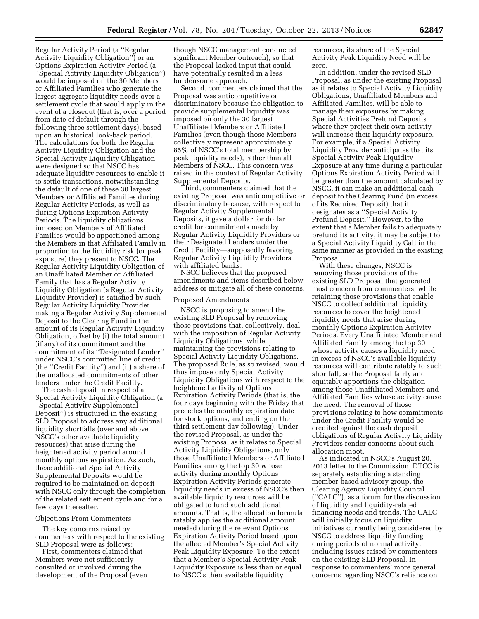Regular Activity Period (a ''Regular Activity Liquidity Obligation'') or an Options Expiration Activity Period (a ''Special Activity Liquidity Obligation'') would be imposed on the 30 Members or Affiliated Families who generate the largest aggregate liquidity needs over a settlement cycle that would apply in the event of a closeout (that is, over a period from date of default through the following three settlement days), based upon an historical look-back period. The calculations for both the Regular Activity Liquidity Obligation and the Special Activity Liquidity Obligation were designed so that NSCC has adequate liquidity resources to enable it to settle transactions, notwithstanding the default of one of these 30 largest Members or Affiliated Families during Regular Activity Periods, as well as during Options Expiration Activity Periods. The liquidity obligations imposed on Members of Affiliated Families would be apportioned among the Members in that Affiliated Family in proportion to the liquidity risk (or peak exposure) they present to NSCC. The Regular Activity Liquidity Obligation of an Unaffiliated Member or Affiliated Family that has a Regular Activity Liquidity Obligation (a Regular Activity Liquidity Provider) is satisfied by such Regular Activity Liquidity Provider making a Regular Activity Supplemental Deposit to the Clearing Fund in the amount of its Regular Activity Liquidity Obligation, offset by (i) the total amount (if any) of its commitment and the commitment of its ''Designated Lender'' under NSCC's committed line of credit (the ''Credit Facility'') and (ii) a share of the unallocated commitments of other lenders under the Credit Facility.

The cash deposit in respect of a Special Activity Liquidity Obligation (a ''Special Activity Supplemental Deposit'') is structured in the existing SLD Proposal to address any additional liquidity shortfalls (over and above NSCC's other available liquidity resources) that arise during the heightened activity period around monthly options expiration. As such, these additional Special Activity Supplemental Deposits would be required to be maintained on deposit with NSCC only through the completion of the related settlement cycle and for a few days thereafter.

### Objections From Commenters

The key concerns raised by commenters with respect to the existing SLD Proposal were as follows:

First, commenters claimed that Members were not sufficiently consulted or involved during the development of the Proposal (even

though NSCC management conducted significant Member outreach), so that the Proposal lacked input that could have potentially resulted in a less burdensome approach.

Second, commenters claimed that the Proposal was anticompetitive or discriminatory because the obligation to provide supplemental liquidity was imposed on only the 30 largest Unaffiliated Members or Affiliated Families (even though those Members collectively represent approximately 85% of NSCC's total membership by peak liquidity needs), rather than all Members of NSCC. This concern was raised in the context of Regular Activity Supplemental Deposits.

Third, commenters claimed that the existing Proposal was anticompetitive or discriminatory because, with respect to Regular Activity Supplemental Deposits, it gave a dollar for dollar credit for commitments made by Regular Activity Liquidity Providers or their Designated Lenders under the Credit Facility—supposedly favoring Regular Activity Liquidity Providers with affiliated banks.

NSCC believes that the proposed amendments and items described below address or mitigate all of these concerns.

# Proposed Amendments

NSCC is proposing to amend the existing SLD Proposal by removing those provisions that, collectively, deal with the imposition of Regular Activity Liquidity Obligations, while maintaining the provisions relating to Special Activity Liquidity Obligations. The proposed Rule, as so revised, would thus impose only Special Activity Liquidity Obligations with respect to the heightened activity of Options Expiration Activity Periods (that is, the four days beginning with the Friday that precedes the monthly expiration date for stock options, and ending on the third settlement day following). Under the revised Proposal, as under the existing Proposal as it relates to Special Activity Liquidity Obligations, only those Unaffiliated Members or Affiliated Families among the top 30 whose activity during monthly Options Expiration Activity Periods generate liquidity needs in excess of NSCC's then available liquidity resources will be obligated to fund such additional amounts. That is, the allocation formula ratably applies the additional amount needed during the relevant Options Expiration Activity Period based upon the affected Member's Special Activity Peak Liquidity Exposure. To the extent that a Member's Special Activity Peak Liquidity Exposure is less than or equal to NSCC's then available liquidity

resources, its share of the Special Activity Peak Liquidity Need will be zero.

In addition, under the revised SLD Proposal, as under the existing Proposal as it relates to Special Activity Liquidity Obligations, Unaffiliated Members and Affiliated Families, will be able to manage their exposures by making Special Activities Prefund Deposits where they project their own activity will increase their liquidity exposure. For example, if a Special Activity Liquidity Provider anticipates that its Special Activity Peak Liquidity Exposure at any time during a particular Options Expiration Activity Period will be greater than the amount calculated by NSCC, it can make an additional cash deposit to the Clearing Fund (in excess of its Required Deposit) that it designates as a ''Special Activity Prefund Deposit.'' However, to the extent that a Member fails to adequately prefund its activity, it may be subject to a Special Activity Liquidity Call in the same manner as provided in the existing Proposal.

With these changes, NSCC is removing those provisions of the existing SLD Proposal that generated most concern from commenters, while retaining those provisions that enable NSCC to collect additional liquidity resources to cover the heightened liquidity needs that arise during monthly Options Expiration Activity Periods. Every Unaffiliated Member and Affiliated Family among the top 30 whose activity causes a liquidity need in excess of NSCC's available liquidity resources will contribute ratably to such shortfall, so the Proposal fairly and equitably apportions the obligation among those Unaffiliated Members and Affiliated Families whose activity cause the need. The removal of those provisions relating to how commitments under the Credit Facility would be credited against the cash deposit obligations of Regular Activity Liquidity Providers render concerns about such allocation moot.

As indicated in NSCC's August 20, 2013 letter to the Commission, DTCC is separately establishing a standing member-based advisory group, the Clearing Agency Liquidity Council (''CALC''), as a forum for the discussion of liquidity and liquidity-related financing needs and trends. The CALC will initially focus on liquidity initiatives currently being considered by NSCC to address liquidity funding during periods of normal activity, including issues raised by commenters on the existing SLD Proposal. In response to commenters' more general concerns regarding NSCC's reliance on